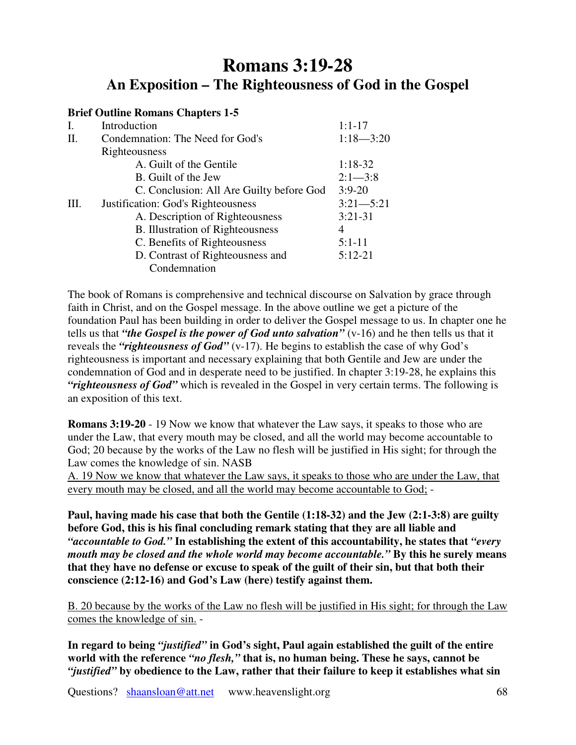# **Romans 3:19-28 An Exposition – The Righteousness of God in the Gospel**

## **Brief Outline Romans Chapters 1-5** I. Introduction 1:1-17 II. Condemnation: The Need for God's 1:18—3:20 Righteousness A. Guilt of the Gentile 1:18-32 B. Guilt of the Jew  $2:1 \rightarrow 3:8$ C. Conclusion: All Are Guilty before God 3:9-20 III. Justification: God's Righteousness 3:21—5:21 A. Description of Righteousness 3:21-31 B. Illustration of Righteousness 4 C. Benefits of Righteousness 5:1-11 D. Contrast of Righteousness and 5:12-21 Condemnation

The book of Romans is comprehensive and technical discourse on Salvation by grace through faith in Christ, and on the Gospel message. In the above outline we get a picture of the foundation Paul has been building in order to deliver the Gospel message to us. In chapter one he tells us that *"the Gospel is the power of God unto salvation"* (v-16) and he then tells us that it reveals the *"righteousness of God"* (v-17). He begins to establish the case of why God's righteousness is important and necessary explaining that both Gentile and Jew are under the condemnation of God and in desperate need to be justified. In chapter 3:19-28, he explains this *"righteousness of God"* which is revealed in the Gospel in very certain terms. The following is an exposition of this text.

**Romans 3:19-20** - 19 Now we know that whatever the Law says, it speaks to those who are under the Law, that every mouth may be closed, and all the world may become accountable to God; 20 because by the works of the Law no flesh will be justified in His sight; for through the Law comes the knowledge of sin. NASB

A. 19 Now we know that whatever the Law says, it speaks to those who are under the Law, that every mouth may be closed, and all the world may become accountable to God; -

**Paul, having made his case that both the Gentile (1:18-32) and the Jew (2:1-3:8) are guilty before God, this is his final concluding remark stating that they are all liable and** *"accountable to God."* **In establishing the extent of this accountability, he states that** *"every mouth may be closed and the whole world may become accountable."* **By this he surely means that they have no defense or excuse to speak of the guilt of their sin, but that both their conscience (2:12-16) and God's Law (here) testify against them.**

B. 20 because by the works of the Law no flesh will be justified in His sight; for through the Law comes the knowledge of sin. -

**In regard to being** *"justified"* **in God's sight, Paul again established the guilt of the entire world with the reference** *"no flesh,"* **that is, no human being. These he says, cannot be** *"justified"* **by obedience to the Law, rather that their failure to keep it establishes what sin**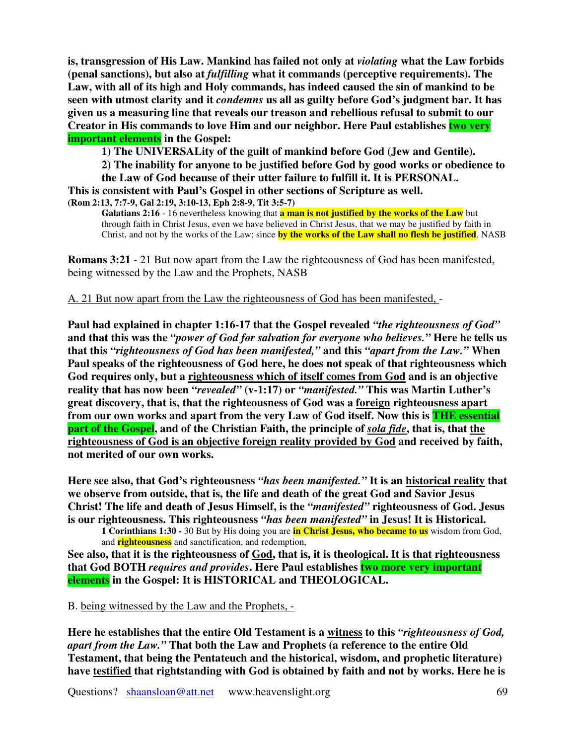**is, transgression of His Law. Mankind has failed not only at** *violating* **what the Law forbids (penal sanctions), but also at** *fulfilling* **what it commands (perceptive requirements). The Law, with all of its high and Holy commands, has indeed caused the sin of mankind to be seen with utmost clarity and it** *condemns* **us all as guilty before God's judgment bar. It has given us a measuring line that reveals our treason and rebellious refusal to submit to our Creator in His commands to love Him and our neighbor. Here Paul establishes two very important elements in the Gospel:**

**1) The UNIVERSALity of the guilt of mankind before God (Jew and Gentile).**

**2) The inability for anyone to be justified before God by good works or obedience to the Law of God because of their utter failure to fulfill it. It is PERSONAL.**

**This is consistent with Paul's Gospel in other sections of Scripture as well. (Rom 2:13, 7:7-9, Gal 2:19, 3:10-13, Eph 2:8-9, Tit 3:5-7)**

**Galatians 2:16** - 16 nevertheless knowing that **a man is not justified by the works of the Law** but through faith in Christ Jesus, even we have believed in Christ Jesus, that we may be justified by faith in Christ, and not by the works of the Law; since **by the works of the Law shall no flesh be justified**. NASB

**Romans 3:21** - 21 But now apart from the Law the righteousness of God has been manifested, being witnessed by the Law and the Prophets, NASB

#### A. 21 But now apart from the Law the righteousness of God has been manifested, -

**Paul had explained in chapter 1:16-17 that the Gospel revealed** *"the righteousness of God"* **and that this was the** *"power of God for salvation for everyone who believes."* **Here he tells us that this** *"righteousness of God has been manifested,"* **and this** *"apart from the Law."* **When Paul speaks of the righteousness of God here, he does not speak of that righteousness which God requires only, but a righteousness which of itself comes from God and is an objective reality that has now been** *"revealed"* **(v-1:17) or** *"manifested."* **This was Martin Luther's great discovery, that is, that the righteousness of God was a foreign righteousness apart from our own works and apart from the very Law of God itself. Now this is THE essential** part of the Gospel, and of the Christian Faith, the principle of *sola fide*, that is, that the **righteousness of God is an objective foreign reality provided by God and received by faith, not merited of our own works.**

**Here see also, that God's righteousness** *"has been manifested."* **It is an historical reality that we observe from outside, that is, the life and death of the great God and Savior Jesus Christ! The life and death of Jesus Himself, is the** *"manifested"* **righteousness of God. Jesus is our righteousness. This righteousness** *"has been manifested"* **in Jesus! It is Historical.**

**1 Corinthians 1:30 -** 30 But by His doing you are **in Christ Jesus, who became to us** wisdom from God, and **righteousness** and sanctification, and redemption,

See also, that it is the righteousness of God, that is, it is theological. It is that righteousness **that God BOTH** *requires and provides***. Here Paul establishes two more very important elements in the Gospel: It is HISTORICAL and THEOLOGICAL.**

B. being witnessed by the Law and the Prophets, -

**Here he establishes that the entire Old Testament is a witness to this** *"righteousness of God, apart from the Law."* **That both the Law and Prophets (a reference to the entire Old Testament, that being the Pentateuch and the historical, wisdom, and prophetic literature) have testified that rightstanding with God is obtained by faith and not by works. Here he is**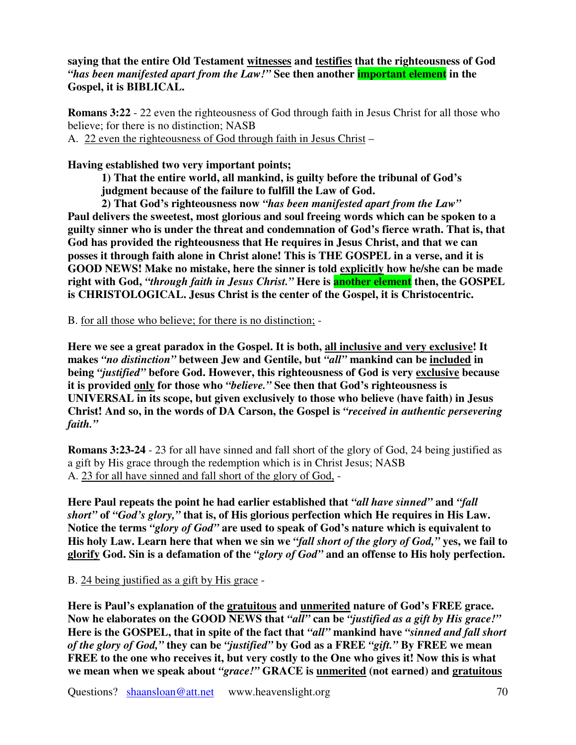**saying that the entire Old Testament witnesses and testifies that the righteousness of God** *"has been manifested apart from the Law!"* **See then another important element in the Gospel, it is BIBLICAL.**

**Romans 3:22** - 22 even the righteousness of God through faith in Jesus Christ for all those who believe; for there is no distinction; NASB

A. 22 even the righteousness of God through faith in Jesus Christ –

**Having established two very important points;**

**1) That the entire world, all mankind, is guilty before the tribunal of God's judgment because of the failure to fulfill the Law of God.**

**2) That God's righteousness now** *"has been manifested apart from the Law"* **Paul delivers the sweetest, most glorious and soul freeing words which can be spoken to a guilty sinner who is under the threat and condemnation of God's fierce wrath. That is, that God has provided the righteousness that He requires in Jesus Christ, and that we can posses it through faith alone in Christ alone! This is THE GOSPEL in a verse, and it is GOOD NEWS! Make no mistake, here the sinner is told explicitly how he/she can be made right with God,** *"through faith in Jesus Christ."* **Here is another element then, the GOSPEL is CHRISTOLOGICAL. Jesus Christ is the center of the Gospel, it is Christocentric.**

B. for all those who believe; for there is no distinction; -

**Here we see a great paradox in the Gospel. It is both, all inclusive and very exclusive! It makes** *"no distinction"* **between Jew and Gentile, but** *"all"* **mankind can be included in being** *"justified"* **before God. However, this righteousness of God is very exclusive because it is provided only for those who** *"believe."* **See then that God's righteousness is UNIVERSAL in its scope, but given exclusively to those who believe (have faith) in Jesus Christ! And so, in the words of DA Carson, the Gospel is** *"received in authentic persevering faith."*

**Romans 3:23-24** - 23 for all have sinned and fall short of the glory of God, 24 being justified as a gift by His grace through the redemption which is in Christ Jesus; NASB A. 23 for all have sinned and fall short of the glory of God, -

**Here Paul repeats the point he had earlier established that** *"all have sinned"* **and** *"fall short"* **of** *"God's glory,"* **that is, of His glorious perfection which He requires in His Law. Notice the terms** *"glory of God"* **are used to speak of God's nature which is equivalent to** His holy Law. Learn here that when we sin we "fall short of the glory of God," yes, we fail to **glorify God. Sin is a defamation of the** *"glory of God"* **and an offense to His holy perfection.**

B. 24 being justified as a gift by His grace -

**Here is Paul's explanation of the gratuitous and unmerited nature of God's FREE grace. Now he elaborates on the GOOD NEWS that** *"all"* **can be** *"justified as a gift by His grace!"* **Here is the GOSPEL, that in spite of the fact that** *"all"* **mankind have** *"sinned and fall short of the glory of God,"* **they can be** *"justified"* **by God as a FREE** *"gift."* **By FREE we mean** FREE to the one who receives it, but very costly to the One who gives it! Now this is what **we mean when we speak about** *"grace!"* **GRACE is unmerited (not earned) and gratuitous**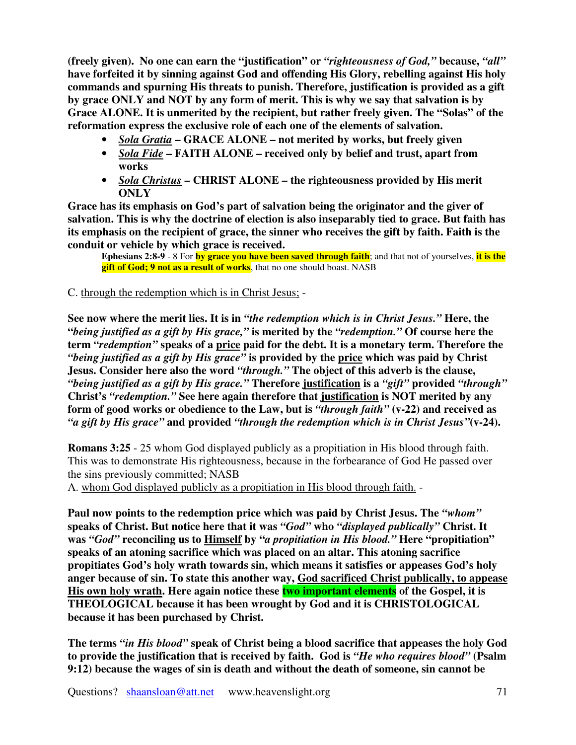**(freely given). No one can earn the "justification" or** *"righteousness of God,"* **because,** *"all"* **have forfeited it by sinning against God and offending His Glory, rebelling against His holy commands and spurning His threats to punish. Therefore, justification is provided as a gift by grace ONLY and NOT by any form of merit. This is why we say that salvation is by Grace ALONE. It is unmerited by the recipient, but rather freely given. The "Solas" of the reformation express the exclusive role of each one of the elements of salvation.**

- *Sola Gratia* **– GRACE ALONE – not merited by works, but freely given**
- *Sola Fide* **– FAITH ALONE – received only by belief and trust, apart from works**
- *Sola Christus* **– CHRIST ALONE – the righteousness provided by His merit ONLY**

**Grace has its emphasis on God's part of salvation being the originator and the giver of salvation. This is why the doctrine of election is also inseparably tied to grace. But faith has its emphasis on the recipient of grace, the sinner who receives the gift by faith. Faith is the conduit or vehicle by which grace is received.**

**Ephesians 2:8-9** - 8 For **by grace you have been saved through faith**; and that not of yourselves, **it is the gift of God; 9 not as a result of works**, that no one should boast. NASB

## C. through the redemption which is in Christ Jesus; -

**See now where the merit lies. It is in** *"the redemption which is in Christ Jesus."* **Here, the "***being justified as a gift by His grace,"* **is merited by the** *"redemption."* **Of course here the term** *"redemption"* **speaks of a price paid for the debt. It is a monetary term. Therefore the** *"being justified as a gift by His grace"* **is provided by the price which was paid by Christ Jesus. Consider here also the word** *"through."* **The object of this adverb is the clause,** *"being justified as a gift by His grace."* **Therefore justification is a** *"gift"* **provided** *"through"* **Christ's** *"redemption."* **See here again therefore that justification is NOT merited by any form of good works or obedience to the Law, but is** *"through faith"* **(v-22) and received as** *"a gift by His grace"* **and provided** *"through the redemption which is in Christ Jesus"***(v-24).**

**Romans 3:25** - 25 whom God displayed publicly as a propitiation in His blood through faith. This was to demonstrate His righteousness, because in the forbearance of God He passed over the sins previously committed; NASB

A. whom God displayed publicly as a propitiation in His blood through faith. -

**Paul now points to the redemption price which was paid by Christ Jesus. The** *"whom"* **speaks of Christ. But notice here that it was** *"God"* **who** *"displayed publically"* **Christ. It was** *"God"* **reconciling us to Himself by "***a propitiation in His blood."* **Here "propitiation" speaks of an atoning sacrifice which was placed on an altar. This atoning sacrifice propitiates God's holy wrath towards sin, which means it satisfies or appeases God's holy anger because of sin. To state this another way, God sacrificed Christ publically, to appease His own holy wrath. Here again notice these two important elements of the Gospel, it is THEOLOGICAL because it has been wrought by God and it is CHRISTOLOGICAL because it has been purchased by Christ.**

**The terms** *"in His blood"* **speak of Christ being a blood sacrifice that appeases the holy God to provide the justification that is received by faith. God is** *"He who requires blood"* **(Psalm 9:12) because the wages of sin is death and without the death of someone, sin cannot be**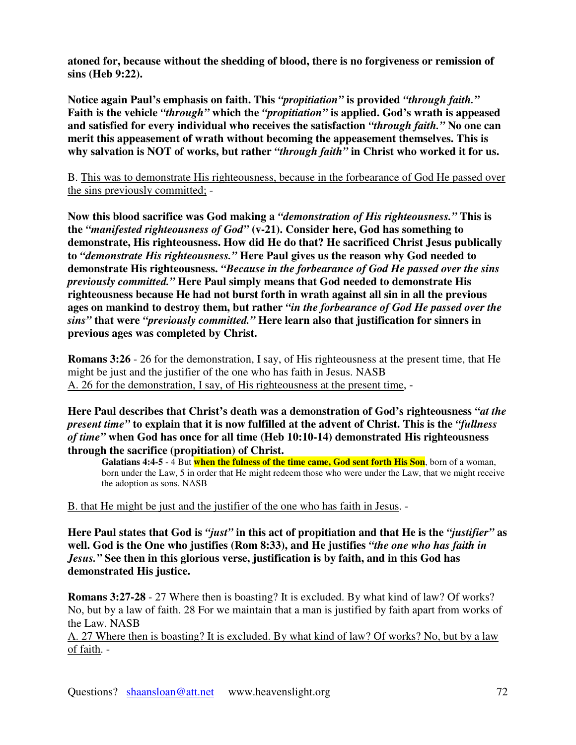**atoned for, because without the shedding of blood, there is no forgiveness or remission of sins (Heb 9:22).**

**Notice again Paul's emphasis on faith. This** *"propitiation"* **is provided** *"through faith."* **Faith is the vehicle** *"through"* **which the** *"propitiation"* **is applied. God's wrath is appeased and satisfied for every individual who receives the satisfaction** *"through faith."* **No one can merit this appeasement of wrath without becoming the appeasement themselves. This is why salvation is NOT of works, but rather** *"through faith"* **in Christ who worked it for us.**

B. This was to demonstrate His righteousness, because in the forbearance of God He passed over the sins previously committed; -

**Now this blood sacrifice was God making a** *"demonstration of His righteousness."* **This is the** *"manifested righteousness of God"* **(v-21). Consider here, God has something to demonstrate, His righteousness. How did He do that? He sacrificed Christ Jesus publically to** *"demonstrate His righteousness."* **Here Paul gives us the reason why God needed to demonstrate His righteousness.** *"Because in the forbearance of God He passed over the sins previously committed."* **Here Paul simply means that God needed to demonstrate His righteousness because He had not burst forth in wrath against all sin in all the previous ages on mankind to destroy them, but rather** *"in the forbearance of God He passed over the sins"* **that were** *"previously committed."* **Here learn also that justification for sinners in previous ages was completed by Christ.**

**Romans 3:26** - 26 for the demonstration, I say, of His righteousness at the present time, that He might be just and the justifier of the one who has faith in Jesus. NASB A. 26 for the demonstration, I say, of His righteousness at the present time, -

**Here Paul describes that Christ's death was a demonstration of God's righteousness** *"at the present time"* **to explain that it is now fulfilled at the advent of Christ. This is the** *"fullness of time"* **when God has once for all time (Heb 10:10-14) demonstrated His righteousness through the sacrifice (propitiation) of Christ.**

**Galatians 4:4-5** - 4 But **when the fulness of the time came, God sent forth His Son**, born of a woman, born under the Law, 5 in order that He might redeem those who were under the Law, that we might receive the adoption as sons. NASB

B. that He might be just and the justifier of the one who has faith in Jesus. -

Here Paul states that God is "just" in this act of propitiation and that He is the "justifier" as **well. God is the One who justifies (Rom 8:33), and He justifies** *"the one who has faith in Jesus."* **See then in this glorious verse, justification is by faith, and in this God has demonstrated His justice.**

**Romans 3:27-28** - 27 Where then is boasting? It is excluded. By what kind of law? Of works? No, but by a law of faith. 28 For we maintain that a man is justified by faith apart from works of the Law. NASB

A. 27 Where then is boasting? It is excluded. By what kind of law? Of works? No, but by a law of faith. -